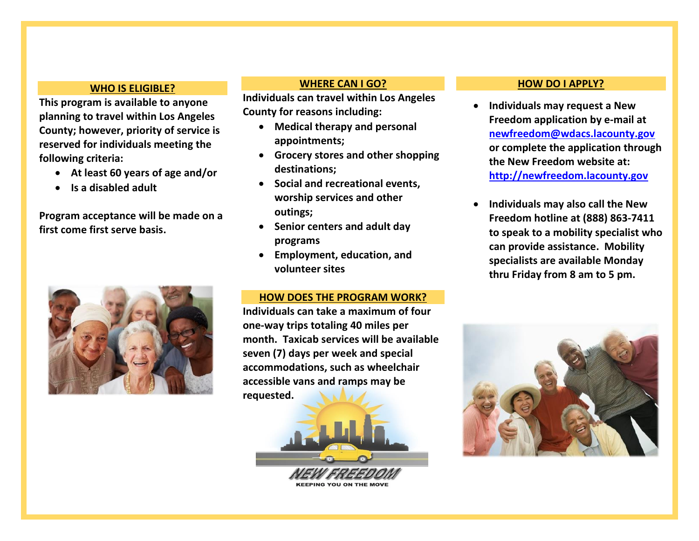#### **WHO IS ELIGIBLE?**

**This program is available to anyone planning to travel within Los Angeles County; however, priority of service is reserved for individuals meeting the following criteria:** 

- **At least 60 years of age and/or**
- **Is a disabled adult**

**Program acceptance will be made on a first come first serve basis.**



## **WHERE CAN I GO?**

**Individuals can travel within Los Angeles County for reasons including:**

- **Medical therapy and personal appointments;**
- **Grocery stores and other shopping destinations;**
- **Social and recreational events, worship services and other outings;**
- **Senior centers and adult day programs**
- **Employment, education, and volunteer sites**

### **HOW DOES THE PROGRAM WORK?**

**Individuals can take a maximum of four one-way trips totaling 40 miles per month. Taxicab services will be available seven (7) days per week and special accommodations, such as wheelchair accessible vans and ramps may be requested.**



#### **HOW DO I APPLY?**

- **Individuals may request a New Freedom application by e-mail at [newfreedom@wdacs.lacounty.gov](mailto:newfreedom@wdacs.lacounty.gov) or complete the application through the New Freedom website at: [http://newfreedom.lacounty.gov](http://newfreedom.lacounty.gov/)**
- **Individuals may also call the New Freedom hotline at (888) 863-7411 to speak to a mobility specialist who can provide assistance. Mobility specialists are available Monday thru Friday from 8 am to 5 pm.**